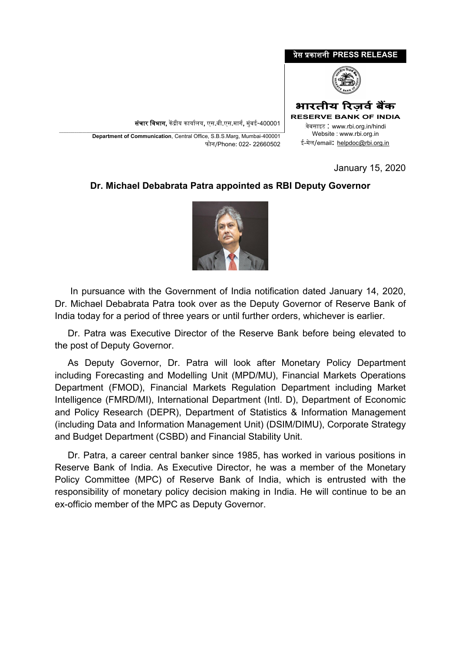## �ेस �काशनी **PRESS RELEASE**



**भारतीय �रज़वर्बक� RESERVE BANK OF INDIA**

संचार विभाग, केंद्रीय कार्यालय, एस.बी.एस.मार्ग, मुंबई-400001

\_\_\_\_\_\_\_\_\_\_\_\_\_\_\_\_\_\_\_\_\_\_\_\_\_\_\_\_\_\_\_\_\_\_\_\_\_\_\_\_\_\_\_\_\_\_\_\_\_\_\_\_\_\_\_\_\_\_\_\_\_\_\_\_\_\_\_\_\_\_\_\_\_\_\_\_\_\_\_\_\_\_\_\_\_\_\_\_\_\_\_\_\_\_\_\_\_\_\_\_\_\_\_\_\_\_\_\_\_\_\_\_\_\_\_\_\_ **Department of Communication**, Central Office, S.B.S.Marg, Mumbai-400001 फोन/Phone: 022- 22660502

<sup>0</sup>वेबसाइट : www.rbi.org.in/hindi Website : www.rbi.org.in ई-मेल/email**:** [helpdoc@rbi.org.in](mailto:helpdoc@rbi.org.in)

January 15, 2020

## **Dr. Michael Debabrata Patra appointed as RBI Deputy Governor**



 In pursuance with the Government of India notification dated January 14, 2020, Dr. Michael Debabrata Patra took over as the Deputy Governor of Reserve Bank of India today for a period of three years or until further orders, whichever is earlier.

 Dr. Patra was Executive Director of the Reserve Bank before being elevated to the post of Deputy Governor.

 As Deputy Governor, Dr. Patra will look after Monetary Policy Department including Forecasting and Modelling Unit (MPD/MU), Financial Markets Operations Department (FMOD), Financial Markets Regulation Department including Market Intelligence (FMRD/MI), International Department (Intl. D), Department of Economic and Policy Research (DEPR), Department of Statistics & Information Management (including Data and Information Management Unit) (DSIM/DIMU), Corporate Strategy and Budget Department (CSBD) and Financial Stability Unit.

 Dr. Patra, a career central banker since 1985, has worked in various positions in Reserve Bank of India. As Executive Director, he was a member of the Monetary Policy Committee (MPC) of Reserve Bank of India, which is entrusted with the responsibility of monetary policy decision making in India. He will continue to be an ex-officio member of the MPC as Deputy Governor.